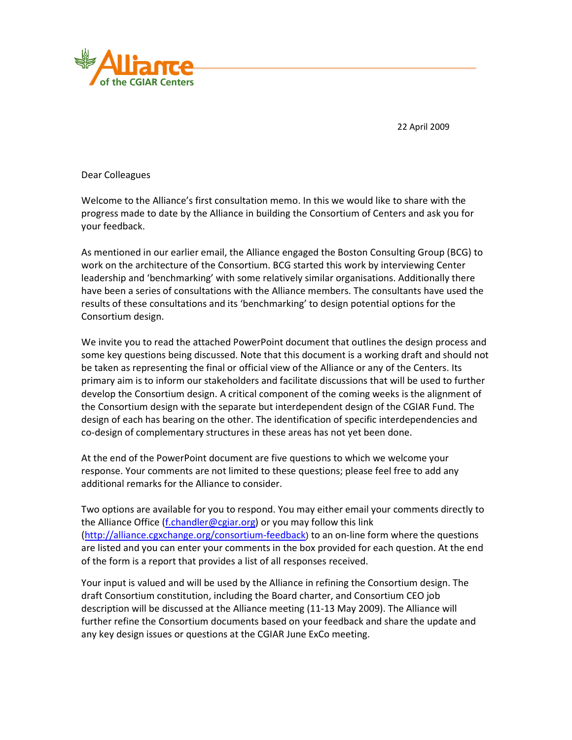

22 April 2009

Dear Colleagues

Welcome to the Alliance's first consultation memo. In this we would like to share with the progress made to date by the Alliance in building the Consortium of Centers and ask you for your feedback.

As mentioned in our earlier email, the Alliance engaged the Boston Consulting Group (BCG) to work on the architecture of the Consortium. BCG started this work by interviewing Center leadership and 'benchmarking' with some relatively similar organisations. Additionally there have been a series of consultations with the Alliance members. The consultants have used the results of these consultations and its 'benchmarking' to design potential options for the Consortium design.

We invite you to read the attached PowerPoint document that outlines the design process and some key questions being discussed. Note that this document is a working draft and should not be taken as representing the final or official view of the Alliance or any of the Centers. Its primary aim is to inform our stakeholders and facilitate discussions that will be used to further develop the Consortium design. A critical component of the coming weeks is the alignment of the Consortium design with the separate but interdependent design of the CGIAR Fund. The design of each has bearing on the other. The identification of specific interdependencies and co-design of complementary structures in these areas has not yet been done.

At the end of the PowerPoint document are five questions to which we welcome your response. Your comments are not limited to these questions; please feel free to add any additional remarks for the Alliance to consider.

Two options are available for you to respond. You may either email your comments directly to the Alliance Office (f.chandler@cgiar.org) or you may follow this link (http://alliance.cgxchange.org/consortium-feedback) to an on-line form where the questions are listed and you can enter your comments in the box provided for each question. At the end of the form is a report that provides a list of all responses received.

Your input is valued and will be used by the Alliance in refining the Consortium design. The draft Consortium constitution, including the Board charter, and Consortium CEO job description will be discussed at the Alliance meeting (11-13 May 2009). The Alliance will further refine the Consortium documents based on your feedback and share the update and any key design issues or questions at the CGIAR June ExCo meeting.